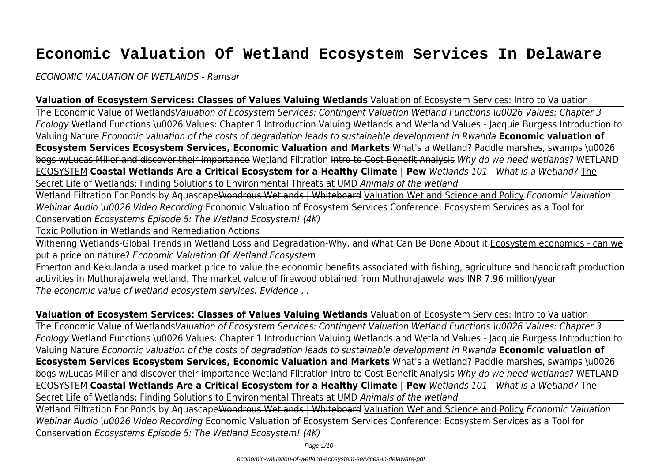# **Economic Valuation Of Wetland Ecosystem Services In Delaware**

*ECONOMIC VALUATION OF WETLANDS - Ramsar*

#### **Valuation of Ecosystem Services: Classes of Values Valuing Wetlands** Valuation of Ecosystem Services: Intro to Valuation

The Economic Value of Wetlands*Valuation of Ecosystem Services: Contingent Valuation Wetland Functions \u0026 Values: Chapter 3 Ecology* Wetland Functions \u0026 Values: Chapter 1 Introduction Valuing Wetlands and Wetland Values - Jacquie Burgess Introduction to Valuing Nature *Economic valuation of the costs of degradation leads to sustainable development in Rwanda* **Economic valuation of Ecosystem Services Ecosystem Services, Economic Valuation and Markets** What's a Wetland? Paddle marshes, swamps \u0026 bogs w/Lucas Miller and discover their importance Wetland Filtration Intro to Cost-Benefit Analysis *Why do we need wetlands?* WETLAND ECOSYSTEM **Coastal Wetlands Are a Critical Ecosystem for a Healthy Climate | Pew** *Wetlands 101 - What is a Wetland?* The Secret Life of Wetlands: Finding Solutions to Environmental Threats at UMD *Animals of the wetland*

Wetland Filtration For Ponds by AquascapeWondrous Wetlands | Whiteboard Valuation Wetland Science and Policy *Economic Valuation Webinar Audio \u0026 Video Recording* Economic Valuation of Ecosystem Services Conference: Ecosystem Services as a Tool for Conservation *Ecosystems Episode 5: The Wetland Ecosystem! (4K)*

Toxic Pollution in Wetlands and Remediation Actions

Withering Wetlands-Global Trends in Wetland Loss and Degradation-Why, and What Can Be Done About it.Ecosystem economics - can we put a price on nature? *Economic Valuation Of Wetland Ecosystem*

Emerton and Kekulandala used market price to value the economic benefits associated with fishing, agriculture and handicraft production activities in Muthurajawela wetland. The market value of firewood obtained from Muthurajawela was INR 7.96 million/year *The economic value of wetland ecosystem services: Evidence ...*

#### **Valuation of Ecosystem Services: Classes of Values Valuing Wetlands** Valuation of Ecosystem Services: Intro to Valuation

The Economic Value of Wetlands*Valuation of Ecosystem Services: Contingent Valuation Wetland Functions \u0026 Values: Chapter 3 Ecology* Wetland Functions \u0026 Values: Chapter 1 Introduction Valuing Wetlands and Wetland Values - Jacquie Burgess Introduction to Valuing Nature *Economic valuation of the costs of degradation leads to sustainable development in Rwanda* **Economic valuation of Ecosystem Services Ecosystem Services, Economic Valuation and Markets** What's a Wetland? Paddle marshes, swamps \u0026 bogs w/Lucas Miller and discover their importance Wetland Filtration Intro to Cost-Benefit Analysis *Why do we need wetlands?* WETLAND ECOSYSTEM **Coastal Wetlands Are a Critical Ecosystem for a Healthy Climate | Pew** *Wetlands 101 - What is a Wetland?* The Secret Life of Wetlands: Finding Solutions to Environmental Threats at UMD *Animals of the wetland*

Wetland Filtration For Ponds by AquascapeWondrous Wetlands | Whiteboard Valuation Wetland Science and Policy *Economic Valuation Webinar Audio \u0026 Video Recording* Economic Valuation of Ecosystem Services Conference: Ecosystem Services as a Tool for Conservation *Ecosystems Episode 5: The Wetland Ecosystem! (4K)*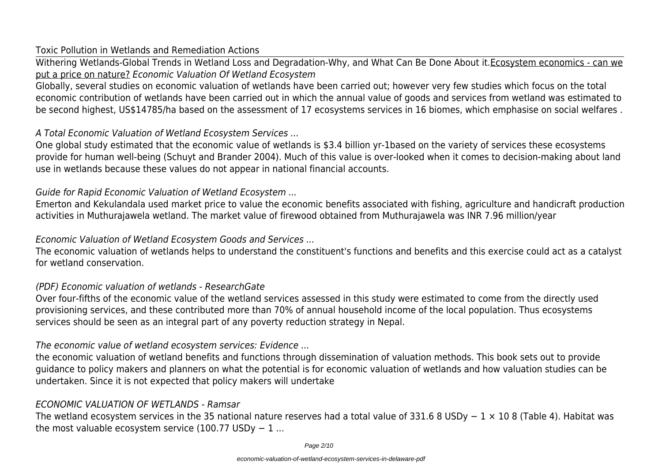#### Toxic Pollution in Wetlands and Remediation Actions

Withering Wetlands-Global Trends in Wetland Loss and Degradation-Why, and What Can Be Done About it.Ecosystem economics - can we put a price on nature? *Economic Valuation Of Wetland Ecosystem*

Globally, several studies on economic valuation of wetlands have been carried out; however very few studies which focus on the total economic contribution of wetlands have been carried out in which the annual value of goods and services from wetland was estimated to be second highest, US\$14785/ha based on the assessment of 17 ecosystems services in 16 biomes, which emphasise on social welfares .

### *A Total Economic Valuation of Wetland Ecosystem Services ...*

One global study estimated that the economic value of wetlands is \$3.4 billion yr-1based on the variety of services these ecosystems provide for human well-being (Schuyt and Brander 2004). Much of this value is over-looked when it comes to decision-making about land use in wetlands because these values do not appear in national financial accounts.

# *Guide for Rapid Economic Valuation of Wetland Ecosystem ...*

Emerton and Kekulandala used market price to value the economic benefits associated with fishing, agriculture and handicraft production activities in Muthurajawela wetland. The market value of firewood obtained from Muthurajawela was INR 7.96 million/year

# *Economic Valuation of Wetland Ecosystem Goods and Services ...*

The economic valuation of wetlands helps to understand the constituent's functions and benefits and this exercise could act as a catalyst for wetland conservation.

# *(PDF) Economic valuation of wetlands - ResearchGate*

Over four-fifths of the economic value of the wetland services assessed in this study were estimated to come from the directly used provisioning services, and these contributed more than 70% of annual household income of the local population. Thus ecosystems services should be seen as an integral part of any poverty reduction strategy in Nepal.

# *The economic value of wetland ecosystem services: Evidence ...*

the economic valuation of wetland benefits and functions through dissemination of valuation methods. This book sets out to provide guidance to policy makers and planners on what the potential is for economic valuation of wetlands and how valuation studies can be undertaken. Since it is not expected that policy makers will undertake

# *ECONOMIC VALUATION OF WETLANDS - Ramsar*

The wetland ecosystem services in the 35 national nature reserves had a total value of 331.6 8 USDy − 1 × 10 8 (Table 4). Habitat was the most valuable ecosystem service (100.77 USDy  $-1$  ...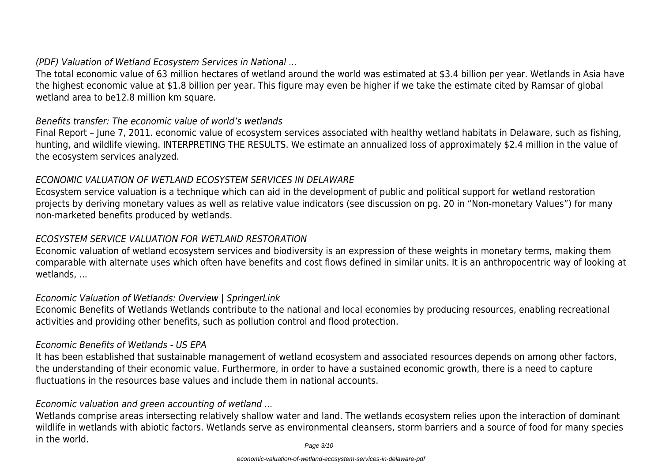### *(PDF) Valuation of Wetland Ecosystem Services in National ...*

The total economic value of 63 million hectares of wetland around the world was estimated at \$3.4 billion per year. Wetlands in Asia have the highest economic value at \$1.8 billion per year. This figure may even be higher if we take the estimate cited by Ramsar of global wetland area to be12.8 million km square.

#### *Benefits transfer: The economic value of world's wetlands*

Final Report – June 7, 2011. economic value of ecosystem services associated with healthy wetland habitats in Delaware, such as fishing, hunting, and wildlife viewing. INTERPRETING THE RESULTS. We estimate an annualized loss of approximately \$2.4 million in the value of the ecosystem services analyzed.

#### *ECONOMIC VALUATION OF WETLAND ECOSYSTEM SERVICES IN DELAWARE*

Ecosystem service valuation is a technique which can aid in the development of public and political support for wetland restoration projects by deriving monetary values as well as relative value indicators (see discussion on pg. 20 in "Non-monetary Values") for many non-marketed benefits produced by wetlands.

#### *ECOSYSTEM SERVICE VALUATION FOR WETLAND RESTORATION*

Economic valuation of wetland ecosystem services and biodiversity is an expression of these weights in monetary terms, making them comparable with alternate uses which often have benefits and cost flows defined in similar units. It is an anthropocentric way of looking at wetlands, ...

#### *Economic Valuation of Wetlands: Overview | SpringerLink*

Economic Benefits of Wetlands Wetlands contribute to the national and local economies by producing resources, enabling recreational activities and providing other benefits, such as pollution control and flood protection.

#### *Economic Benefits of Wetlands - US EPA*

It has been established that sustainable management of wetland ecosystem and associated resources depends on among other factors, the understanding of their economic value. Furthermore, in order to have a sustained economic growth, there is a need to capture fluctuations in the resources base values and include them in national accounts.

#### *Economic valuation and green accounting of wetland ...*

Wetlands comprise areas intersecting relatively shallow water and land. The wetlands ecosystem relies upon the interaction of dominant wildlife in wetlands with abiotic factors. Wetlands serve as environmental cleansers, storm barriers and a source of food for many species in the world.

Page 3/10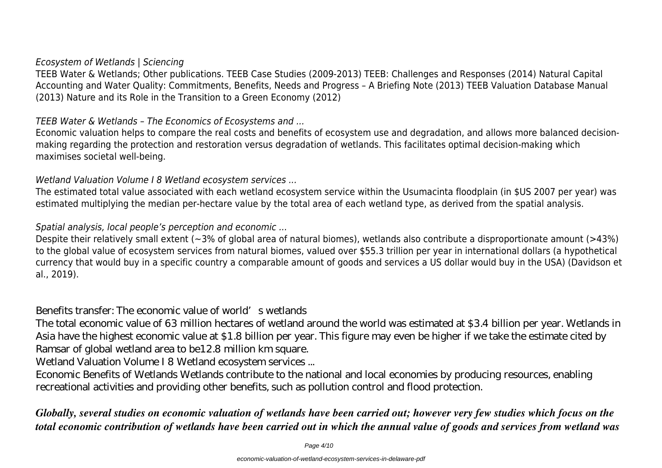#### *Ecosystem of Wetlands | Sciencing*

TEEB Water & Wetlands; Other publications. TEEB Case Studies (2009-2013) TEEB: Challenges and Responses (2014) Natural Capital Accounting and Water Quality: Commitments, Benefits, Needs and Progress – A Briefing Note (2013) TEEB Valuation Database Manual (2013) Nature and its Role in the Transition to a Green Economy (2012)

#### *TEEB Water & Wetlands – The Economics of Ecosystems and ...*

Economic valuation helps to compare the real costs and benefits of ecosystem use and degradation, and allows more balanced decisionmaking regarding the protection and restoration versus degradation of wetlands. This facilitates optimal decision-making which maximises societal well-being.

#### *Wetland Valuation Volume I 8 Wetland ecosystem services ...*

The estimated total value associated with each wetland ecosystem service within the Usumacinta floodplain (in \$US 2007 per year) was estimated multiplying the median per-hectare value by the total area of each wetland type, as derived from the spatial analysis.

#### *Spatial analysis, local people's perception and economic ...*

Despite their relatively small extent (~3% of global area of natural biomes), wetlands also contribute a disproportionate amount (>43%) to the global value of ecosystem services from natural biomes, valued over \$55.3 trillion per year in international dollars (a hypothetical currency that would buy in a specific country a comparable amount of goods and services a US dollar would buy in the USA) (Davidson et al., 2019).

#### *Benefits transfer: The economic value of world's wetlands*

The total economic value of 63 million hectares of wetland around the world was estimated at \$3.4 billion per year. Wetlands in Asia have the highest economic value at \$1.8 billion per year. This figure may even be higher if we take the estimate cited by Ramsar of global wetland area to be12.8 million km square.

*Wetland Valuation Volume I 8 Wetland ecosystem services ...*

Economic Benefits of Wetlands Wetlands contribute to the national and local economies by producing resources, enabling recreational activities and providing other benefits, such as pollution control and flood protection.

*Globally, several studies on economic valuation of wetlands have been carried out; however very few studies which focus on the total economic contribution of wetlands have been carried out in which the annual value of goods and services from wetland was*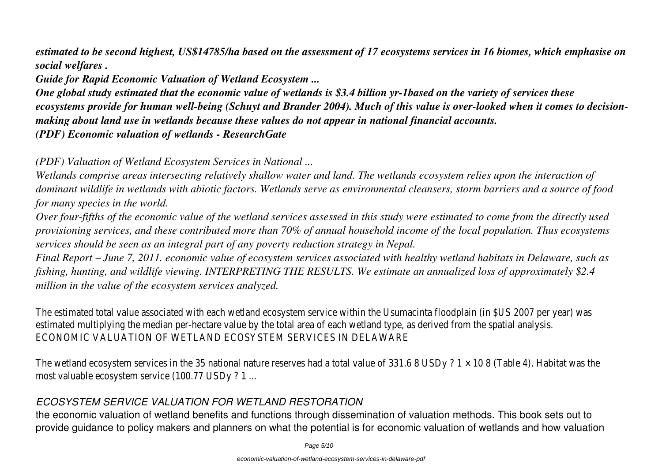*estimated to be second highest, US\$14785/ha based on the assessment of 17 ecosystems services in 16 biomes, which emphasise on social welfares .*

*Guide for Rapid Economic Valuation of Wetland Ecosystem ...*

*One global study estimated that the economic value of wetlands is \$3.4 billion yr-1based on the variety of services these ecosystems provide for human well-being (Schuyt and Brander 2004). Much of this value is over-looked when it comes to decisionmaking about land use in wetlands because these values do not appear in national financial accounts. (PDF) Economic valuation of wetlands - ResearchGate*

*(PDF) Valuation of Wetland Ecosystem Services in National ...*

*Wetlands comprise areas intersecting relatively shallow water and land. The wetlands ecosystem relies upon the interaction of dominant wildlife in wetlands with abiotic factors. Wetlands serve as environmental cleansers, storm barriers and a source of food for many species in the world.*

*Over four-fifths of the economic value of the wetland services assessed in this study were estimated to come from the directly used provisioning services, and these contributed more than 70% of annual household income of the local population. Thus ecosystems services should be seen as an integral part of any poverty reduction strategy in Nepal.*

*Final Report – June 7, 2011. economic value of ecosystem services associated with healthy wetland habitats in Delaware, such as fishing, hunting, and wildlife viewing. INTERPRETING THE RESULTS. We estimate an annualized loss of approximately \$2.4 million in the value of the ecosystem services analyzed.*

The estimated total value associated with each wetland ecosystem service within the Usumacinta floodplain (in \$US 2007 per year) was estimated multiplying the median per-hectare value by the total area of each wetland type, as derived from the spatial analysis. ECONOMIC VALUATION OF WETLAND ECOSYSTEM SERVICES IN DELAWARE

The wetland ecosystem services in the 35 national nature reserves had a total value of 331.6 8 USDy ?  $1 \times 10$  8 (Table 4). Habitat was the most valuable ecosystem service (100.77 USDy ? 1 ...

#### *ECOSYSTEM SERVICE VALUATION FOR WETLAND RESTORATION*

the economic valuation of wetland benefits and functions through dissemination of valuation methods. This book sets out to provide guidance to policy makers and planners on what the potential is for economic valuation of wetlands and how valuation

Page 5/10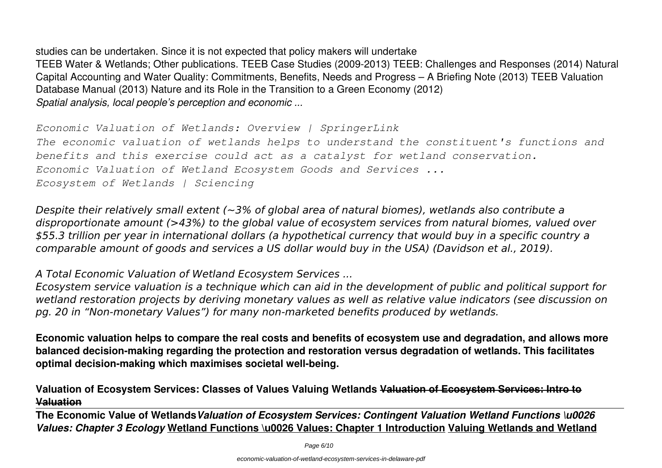studies can be undertaken. Since it is not expected that policy makers will undertake TEEB Water & Wetlands; Other publications. TEEB Case Studies (2009-2013) TEEB: Challenges and Responses (2014) Natural Capital Accounting and Water Quality: Commitments, Benefits, Needs and Progress – A Briefing Note (2013) TEEB Valuation Database Manual (2013) Nature and its Role in the Transition to a Green Economy (2012) *Spatial analysis, local people's perception and economic ...*

*Economic Valuation of Wetlands: Overview | SpringerLink The economic valuation of wetlands helps to understand the constituent's functions and benefits and this exercise could act as a catalyst for wetland conservation. Economic Valuation of Wetland Ecosystem Goods and Services ... Ecosystem of Wetlands | Sciencing*

*Despite their relatively small extent (~3% of global area of natural biomes), wetlands also contribute a disproportionate amount (>43%) to the global value of ecosystem services from natural biomes, valued over \$55.3 trillion per year in international dollars (a hypothetical currency that would buy in a specific country a comparable amount of goods and services a US dollar would buy in the USA) (Davidson et al., 2019).*

*A Total Economic Valuation of Wetland Ecosystem Services ...*

*Ecosystem service valuation is a technique which can aid in the development of public and political support for wetland restoration projects by deriving monetary values as well as relative value indicators (see discussion on pg. 20 in "Non-monetary Values") for many non-marketed benefits produced by wetlands.*

**Economic valuation helps to compare the real costs and benefits of ecosystem use and degradation, and allows more balanced decision-making regarding the protection and restoration versus degradation of wetlands. This facilitates optimal decision-making which maximises societal well-being.**

**Valuation of Ecosystem Services: Classes of Values Valuing Wetlands Valuation of Ecosystem Services: Intro to Valuation**

**The Economic Value of Wetlands***Valuation of Ecosystem Services: Contingent Valuation Wetland Functions \u0026 Values: Chapter 3 Ecology* **Wetland Functions \u0026 Values: Chapter 1 Introduction Valuing Wetlands and Wetland**

Page 6/10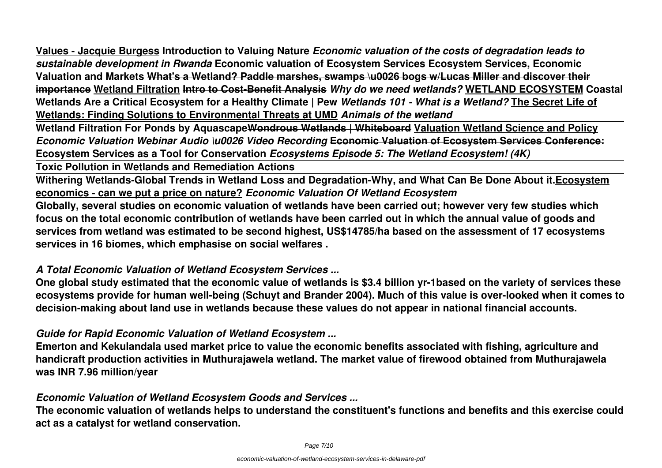**Values - Jacquie Burgess Introduction to Valuing Nature** *Economic valuation of the costs of degradation leads to sustainable development in Rwanda* **Economic valuation of Ecosystem Services Ecosystem Services, Economic Valuation and Markets What's a Wetland? Paddle marshes, swamps \u0026 bogs w/Lucas Miller and discover their importance Wetland Filtration Intro to Cost-Benefit Analysis** *Why do we need wetlands?* **WETLAND ECOSYSTEM Coastal Wetlands Are a Critical Ecosystem for a Healthy Climate | Pew** *Wetlands 101 - What is a Wetland?* **The Secret Life of Wetlands: Finding Solutions to Environmental Threats at UMD** *Animals of the wetland*

**Wetland Filtration For Ponds by AquascapeWondrous Wetlands | Whiteboard Valuation Wetland Science and Policy** *Economic Valuation Webinar Audio \u0026 Video Recording* **Economic Valuation of Ecosystem Services Conference: Ecosystem Services as a Tool for Conservation** *Ecosystems Episode 5: The Wetland Ecosystem! (4K)*

**Toxic Pollution in Wetlands and Remediation Actions**

**Withering Wetlands-Global Trends in Wetland Loss and Degradation-Why, and What Can Be Done About it.Ecosystem economics - can we put a price on nature?** *Economic Valuation Of Wetland Ecosystem*

**Globally, several studies on economic valuation of wetlands have been carried out; however very few studies which focus on the total economic contribution of wetlands have been carried out in which the annual value of goods and services from wetland was estimated to be second highest, US\$14785/ha based on the assessment of 17 ecosystems services in 16 biomes, which emphasise on social welfares .**

#### *A Total Economic Valuation of Wetland Ecosystem Services ...*

**One global study estimated that the economic value of wetlands is \$3.4 billion yr-1based on the variety of services these ecosystems provide for human well-being (Schuyt and Brander 2004). Much of this value is over-looked when it comes to decision-making about land use in wetlands because these values do not appear in national financial accounts.**

#### *Guide for Rapid Economic Valuation of Wetland Ecosystem ...*

**Emerton and Kekulandala used market price to value the economic benefits associated with fishing, agriculture and handicraft production activities in Muthurajawela wetland. The market value of firewood obtained from Muthurajawela was INR 7.96 million/year**

#### *Economic Valuation of Wetland Ecosystem Goods and Services ...*

**The economic valuation of wetlands helps to understand the constituent's functions and benefits and this exercise could act as a catalyst for wetland conservation.**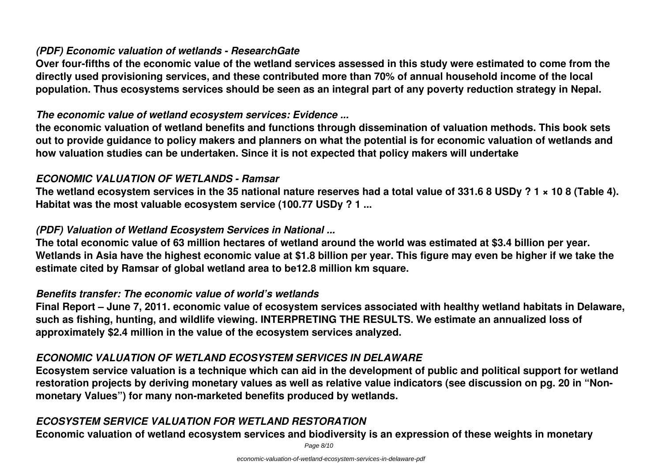# *(PDF) Economic valuation of wetlands - ResearchGate*

**Over four-fifths of the economic value of the wetland services assessed in this study were estimated to come from the directly used provisioning services, and these contributed more than 70% of annual household income of the local population. Thus ecosystems services should be seen as an integral part of any poverty reduction strategy in Nepal.**

#### *The economic value of wetland ecosystem services: Evidence ...*

**the economic valuation of wetland benefits and functions through dissemination of valuation methods. This book sets out to provide guidance to policy makers and planners on what the potential is for economic valuation of wetlands and how valuation studies can be undertaken. Since it is not expected that policy makers will undertake**

#### *ECONOMIC VALUATION OF WETLANDS - Ramsar*

**The wetland ecosystem services in the 35 national nature reserves had a total value of 331.6 8 USDy ? 1 × 10 8 (Table 4). Habitat was the most valuable ecosystem service (100.77 USDy ? 1 ...**

#### *(PDF) Valuation of Wetland Ecosystem Services in National ...*

**The total economic value of 63 million hectares of wetland around the world was estimated at \$3.4 billion per year. Wetlands in Asia have the highest economic value at \$1.8 billion per year. This figure may even be higher if we take the estimate cited by Ramsar of global wetland area to be12.8 million km square.**

#### *Benefits transfer: The economic value of world's wetlands*

**Final Report – June 7, 2011. economic value of ecosystem services associated with healthy wetland habitats in Delaware, such as fishing, hunting, and wildlife viewing. INTERPRETING THE RESULTS. We estimate an annualized loss of approximately \$2.4 million in the value of the ecosystem services analyzed.**

#### *ECONOMIC VALUATION OF WETLAND ECOSYSTEM SERVICES IN DELAWARE*

**Ecosystem service valuation is a technique which can aid in the development of public and political support for wetland restoration projects by deriving monetary values as well as relative value indicators (see discussion on pg. 20 in "Nonmonetary Values") for many non-marketed benefits produced by wetlands.**

# *ECOSYSTEM SERVICE VALUATION FOR WETLAND RESTORATION*

**Economic valuation of wetland ecosystem services and biodiversity is an expression of these weights in monetary**

Page 8/10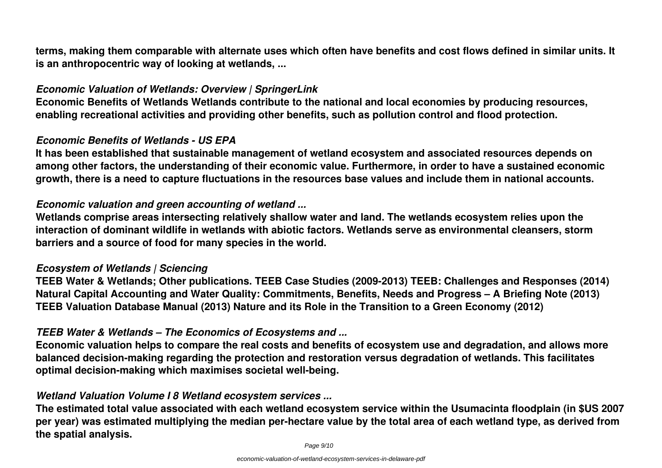**terms, making them comparable with alternate uses which often have benefits and cost flows defined in similar units. It is an anthropocentric way of looking at wetlands, ...**

#### *Economic Valuation of Wetlands: Overview | SpringerLink*

**Economic Benefits of Wetlands Wetlands contribute to the national and local economies by producing resources, enabling recreational activities and providing other benefits, such as pollution control and flood protection.**

#### *Economic Benefits of Wetlands - US EPA*

**It has been established that sustainable management of wetland ecosystem and associated resources depends on among other factors, the understanding of their economic value. Furthermore, in order to have a sustained economic growth, there is a need to capture fluctuations in the resources base values and include them in national accounts.**

### *Economic valuation and green accounting of wetland ...*

**Wetlands comprise areas intersecting relatively shallow water and land. The wetlands ecosystem relies upon the interaction of dominant wildlife in wetlands with abiotic factors. Wetlands serve as environmental cleansers, storm barriers and a source of food for many species in the world.**

#### *Ecosystem of Wetlands | Sciencing*

**TEEB Water & Wetlands; Other publications. TEEB Case Studies (2009-2013) TEEB: Challenges and Responses (2014) Natural Capital Accounting and Water Quality: Commitments, Benefits, Needs and Progress – A Briefing Note (2013) TEEB Valuation Database Manual (2013) Nature and its Role in the Transition to a Green Economy (2012)**

# *TEEB Water & Wetlands – The Economics of Ecosystems and ...*

**Economic valuation helps to compare the real costs and benefits of ecosystem use and degradation, and allows more balanced decision-making regarding the protection and restoration versus degradation of wetlands. This facilitates optimal decision-making which maximises societal well-being.**

# *Wetland Valuation Volume I 8 Wetland ecosystem services ...*

**The estimated total value associated with each wetland ecosystem service within the Usumacinta floodplain (in \$US 2007 per year) was estimated multiplying the median per-hectare value by the total area of each wetland type, as derived from the spatial analysis.**